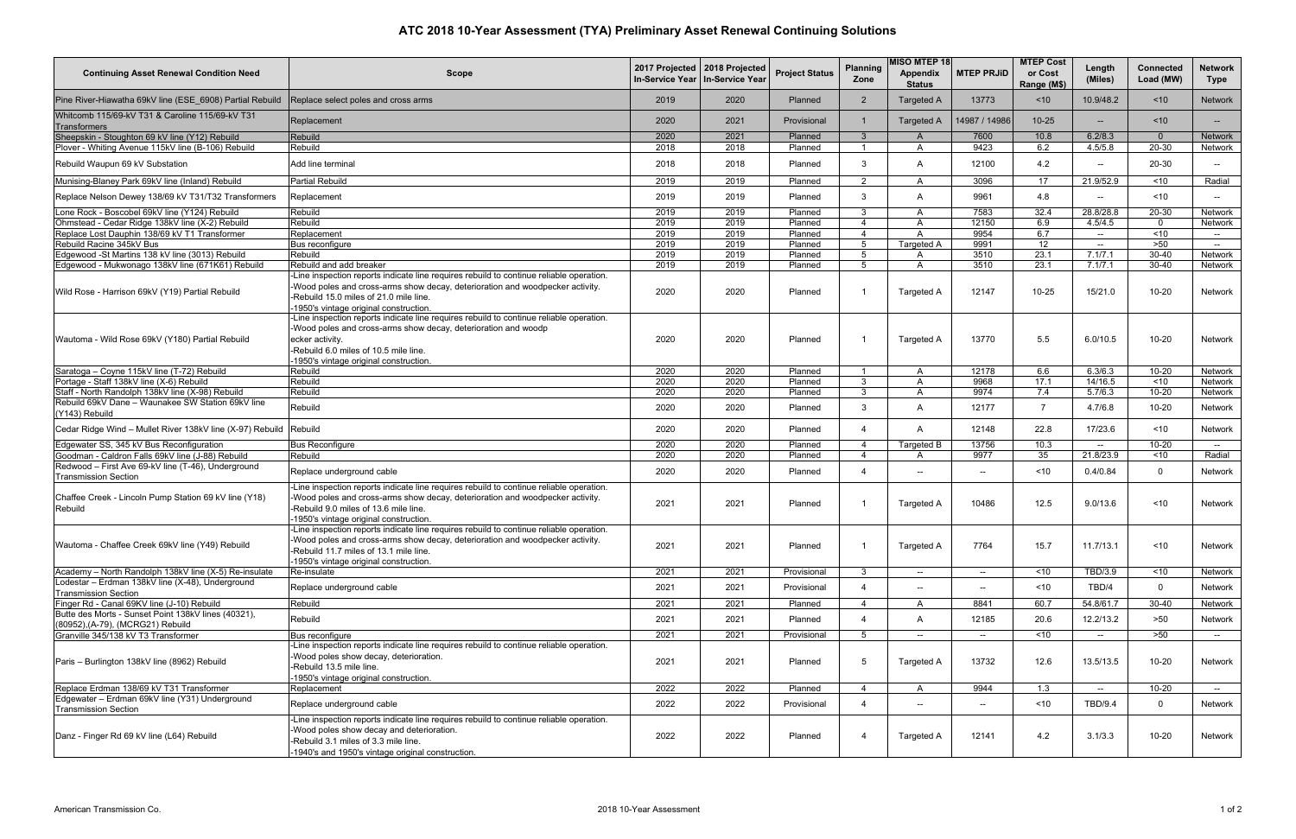## **ATC 2018 10-Year Assessment (TYA) Preliminary Asset Renewal Continuing Solutions**

| <b>Continuing Asset Renewal Condition Need</b>                                           | <b>Scope</b>                                                                                                                                                                                                                                                   |      | 2017 Projected   2018 Projected<br>In-Service Year   In-Service Year | <b>Project Status</b> | <b>Planning</b><br>Zone | <b>MISO MTEP 18</b><br><b>Appendix</b><br><b>Status</b> | <b>MTEP PRJID</b>        | <b>MTEP Cost</b><br>or Cost<br>Range (M\$) | Length<br>(Miles) | <b>Connected</b><br>Load (MW) | Network<br><b>Type</b> |
|------------------------------------------------------------------------------------------|----------------------------------------------------------------------------------------------------------------------------------------------------------------------------------------------------------------------------------------------------------------|------|----------------------------------------------------------------------|-----------------------|-------------------------|---------------------------------------------------------|--------------------------|--------------------------------------------|-------------------|-------------------------------|------------------------|
| Pine River-Hiawatha 69kV line (ESE 6908) Partial Rebuild                                 | Replace select poles and cross arms                                                                                                                                                                                                                            | 2019 | 2020                                                                 | Planned               | $\overline{2}$          | <b>Targeted A</b>                                       | 13773                    | ~10                                        | 10.9/48.2         | ~10                           | <b>Network</b>         |
| Whitcomb 115/69-kV T31 & Caroline 115/69-kV T31<br>Transformers                          | Replacement                                                                                                                                                                                                                                                    | 2020 | 2021                                                                 | Provisional           |                         | <b>Targeted A</b>                                       | 14987 / 14986            | $10 - 25$                                  | $\overline{a}$    | < 10                          | $- -$ .                |
| Sheepskin - Stoughton 69 kV line (Y12) Rebuild                                           | Rebuild                                                                                                                                                                                                                                                        | 2020 | 2021                                                                 | Planned               | $\mathbf{3}$            | A                                                       | 7600                     | 10.8                                       | 6.2/8.3           | $\overline{0}$                | <b>Network</b>         |
| Plover - Whiting Avenue 115kV line (B-106) Rebuild                                       | Rebuild                                                                                                                                                                                                                                                        | 2018 | 2018                                                                 | Planned               |                         | A                                                       | 9423                     | 6.2                                        | 4.5/5.8           | $20 - 30$                     | Network                |
| Rebuild Waupun 69 kV Substation                                                          | Add line terminal                                                                                                                                                                                                                                              | 2018 | 2018                                                                 | Planned               | 3                       | A                                                       | 12100                    | 4.2                                        | $-$               | 20-30                         | $-$                    |
| Munising-Blaney Park 69kV line (Inland) Rebuild                                          | <b>Partial Rebuild</b>                                                                                                                                                                                                                                         | 2019 | 2019                                                                 | Planned               | $\mathcal{P}$           | A                                                       | 3096                     | 17                                         | 21.9/52.9         | ~10                           | Radial                 |
| Replace Nelson Dewey 138/69 kV T31/T32 Transformers                                      | Replacement                                                                                                                                                                                                                                                    | 2019 | 2019                                                                 | Planned               | 3                       | A                                                       | 9961                     | 4.8                                        | ——                | ~10                           | $-$                    |
| Lone Rock - Boscobel 69kV line (Y124) Rebuild                                            | Rebuild                                                                                                                                                                                                                                                        | 2019 | 2019                                                                 | Planned               | 3                       | A                                                       | 7583                     | 32.4                                       | 28.8/28.8         | $20 - 30$                     | Network                |
| Ohmstead - Cedar Ridge 138kV line (X-2) Rebuild                                          | Rebuild                                                                                                                                                                                                                                                        | 2019 | 2019                                                                 | Planned               |                         | A                                                       | 12150                    | 6.9                                        | 4.5/4.5           | $\Omega$                      | Network                |
| Replace Lost Dauphin 138/69 kV T1 Transformer                                            | Replacement                                                                                                                                                                                                                                                    | 2019 | 2019                                                                 | Planned               | $\overline{4}$          | A                                                       | 9954                     | 6.7                                        | $-$               | $\overline{5}$                | $ \sim$                |
| Rebuild Racine 345kV Bus                                                                 | Bus reconfigure                                                                                                                                                                                                                                                | 2019 | 2019                                                                 | Planned               | 5                       | <b>Targeted A</b>                                       | 9991                     | 12                                         | $- -$             | >50                           | $- -$                  |
| Edgewood -St Martins 138 kV line (3013) Rebuild                                          | Rebuild                                                                                                                                                                                                                                                        | 2019 | 2019                                                                 | Planned               | $\overline{5}$          | A                                                       | 3510                     | 23.1                                       | 7.1/7.1           | 30-40                         | Network                |
| Edgewood - Mukwonago 138kV line (671K61) Rebuild                                         | Rebuild and add breaker                                                                                                                                                                                                                                        | 2019 | 2019                                                                 | Planned               | 5                       | A                                                       | 3510                     | 23.1                                       | 7.1/7.1           | $30 - 40$                     | Network                |
| Wild Rose - Harrison 69kV (Y19) Partial Rebuild                                          | -Line inspection reports indicate line requires rebuild to continue reliable operation.<br>-Wood poles and cross-arms show decay, deterioration and woodpecker activity.<br>-Rebuild 15.0 miles of 21.0 mile line.<br>-1950's vintage original construction.   | 2020 | 2020                                                                 | Planned               | -1                      | <b>Targeted A</b>                                       | 12147                    | $10 - 25$                                  | 15/21.0           | $10 - 20$                     | Network                |
| Wautoma - Wild Rose 69kV (Y180) Partial Rebuild                                          | -Line inspection reports indicate line requires rebuild to continue reliable operation.<br>-Wood poles and cross-arms show decay, deterioration and woodp<br>ecker activity.<br>-Rebuild 6.0 miles of 10.5 mile line.<br>-1950's vintage original construction | 2020 | 2020                                                                 | Planned               |                         | Targeted A                                              | 13770                    | 5.5                                        | 6.0/10.5          | $10 - 20$                     | Network                |
| Saratoga - Coyne 115kV line (T-72) Rebuild                                               | Rebuild                                                                                                                                                                                                                                                        | 2020 | 2020                                                                 | Planned               | $\overline{1}$          | A                                                       | 12178                    | 6.6                                        | 6.3/6.3           | $10 - 20$                     | Network                |
| Portage - Staff 138kV line (X-6) Rebuild                                                 | Rebuild                                                                                                                                                                                                                                                        | 2020 | 2020                                                                 | Planned               | $\mathcal{B}$           | A                                                       | 9968                     | 17.1                                       | 14/16.5           | ~10                           | Network                |
| Staff - North Randolph 138kV line (X-98) Rebuild                                         | Rebuild                                                                                                                                                                                                                                                        | 2020 | 2020                                                                 | Planned               | 3                       | A                                                       | 9974                     | 7.4                                        | 5.7/6.3           | $10 - 20$                     | Network                |
| Rebuild 69kV Dane - Waunakee SW Station 69kV line<br>(Y143) Rebuild                      | Rebuild                                                                                                                                                                                                                                                        | 2020 | 2020                                                                 | Planned               | 3                       | A                                                       | 12177                    | $\overline{7}$                             | 4.7/6.8           | $10 - 20$                     | Network                |
| Cedar Ridge Wind - Mullet River 138kV line (X-97) Rebuild                                | Rebuild                                                                                                                                                                                                                                                        | 2020 | 2020                                                                 | Planned               | $\Delta$                | A                                                       | 12148                    | 22.8                                       | 17/23.6           | ~10                           | Network                |
| Edgewater SS, 345 kV Bus Reconfiguration                                                 | <b>Bus Reconfigure</b>                                                                                                                                                                                                                                         | 2020 | 2020                                                                 | Planned               | $\Delta$                | Targeted B                                              | 13756                    | 10.3                                       | $\sim$            | $10 - 20$                     | $ -$                   |
| Goodman - Caldron Falls 69kV line (J-88) Rebuild                                         | Rebuild                                                                                                                                                                                                                                                        | 2020 | 2020                                                                 | Planned               | $\overline{4}$          | A                                                       | 9977                     | 35                                         | 21.8/23.9         | ~10                           | Radial                 |
| Redwood - First Ave 69-kV line (T-46), Underground                                       | Replace underground cable                                                                                                                                                                                                                                      | 2020 | 2020                                                                 | Planned               | $\overline{4}$          | $\sim$                                                  | $\overline{\phantom{a}}$ | ~10                                        | 0.4/0.84          | $\overline{0}$                | Network                |
| <b>Transmission Section</b>                                                              | -Line inspection reports indicate line requires rebuild to continue reliable operation.                                                                                                                                                                        |      |                                                                      |                       |                         |                                                         |                          |                                            |                   |                               |                        |
| Chaffee Creek - Lincoln Pump Station 69 kV line (Y18)<br>Rebuild                         | -Wood poles and cross-arms show decay, deterioration and woodpecker activity.<br>-Rebuild 9.0 miles of 13.6 mile line.<br>-1950's vintage original construction.                                                                                               | 2021 | 2021                                                                 | Planned               |                         | Targeted A                                              | 10486                    | 12.5                                       | 9.0/13.6          | $<$ 10                        | <b>Network</b>         |
| Wautoma - Chaffee Creek 69kV line (Y49) Rebuild                                          | -Line inspection reports indicate line requires rebuild to continue reliable operation.<br>-Wood poles and cross-arms show decay, deterioration and woodpecker activity.<br>-Rebuild 11.7 miles of 13.1 mile line.<br>-1950's vintage original construction.   | 2021 | 2021                                                                 | Planned               |                         | Targeted A                                              | 7764                     | 15.7                                       | 11.7/13.1         | ~10                           | Network                |
| Academy - North Randolph 138kV line (X-5) Re-insulate                                    | Re-insulate                                                                                                                                                                                                                                                    | 2021 | 2021                                                                 | Provisional           | 3                       | $\sim$                                                  | $\overline{\phantom{a}}$ | $\overline{5}$                             | TBD/3.9           | ~10                           | Network                |
| Lodestar - Erdman 138kV line (X-48), Underground<br><b>Transmission Section</b>          | Replace underground cable                                                                                                                                                                                                                                      | 2021 | 2021                                                                 | Provisional           | $\overline{4}$          |                                                         | $\overline{\phantom{a}}$ | ~10                                        | TBD/4             | $\overline{0}$                | Network                |
| Finger Rd - Canal 69KV line (J-10) Rebuild                                               | Rebuild                                                                                                                                                                                                                                                        | 2021 | 2021                                                                 | Planned               |                         | A                                                       | 8841                     | 60.7                                       | 54.8/61.7         | $30 - 40$                     | Network                |
| Butte des Morts - Sunset Point 138kV lines (40321),<br>(80952), (A-79), (MCRG21) Rebuild | Rebuild                                                                                                                                                                                                                                                        | 2021 | 2021                                                                 | Planned               | $\overline{4}$          | A                                                       | 12185                    | 20.6                                       | 12.2/13.2         | >50                           | <b>Network</b>         |
| Granville 345/138 kV T3 Transformer                                                      | Bus reconfigure                                                                                                                                                                                                                                                | 2021 | 2021                                                                 | Provisional           | -5                      | $\sim$                                                  | $\overline{\phantom{a}}$ | ~10                                        | $- -$             | >50                           | $\sim$                 |
| Paris - Burlington 138kV line (8962) Rebuild                                             | -Line inspection reports indicate line requires rebuild to continue reliable operation.<br>-Wood poles show decay, deterioration.<br>Rebuild 13.5 mile line.<br>-1950's vintage original construction.                                                         | 2021 | 2021                                                                 | Planned               | 5                       | Targeted A                                              | 13732                    | 12.6                                       | 13.5/13.5         | $10 - 20$                     | Network                |
| Replace Erdman 138/69 kV T31 Transformer                                                 | Replacement                                                                                                                                                                                                                                                    | 2022 | 2022                                                                 | Planned               | 4                       | A                                                       | 9944                     | 1.3                                        | $\sim$            | $10 - 20$                     | $\sim$                 |
| Edgewater - Erdman 69kV line (Y31) Underground<br><b>Transmission Section</b>            | Replace underground cable                                                                                                                                                                                                                                      | 2022 | 2022                                                                 | Provisional           |                         | $\sim$                                                  | $\overline{\phantom{a}}$ | ~10                                        | TBD/9.4           | $\mathbf{0}$                  | Network                |
| Danz - Finger Rd 69 kV line (L64) Rebuild                                                | -Line inspection reports indicate line requires rebuild to continue reliable operation.<br>Wood poles show decay and deterioration.<br>-Rebuild 3.1 miles of 3.3 mile line.<br>-1940's and 1950's vintage original construction.                               | 2022 | 2022                                                                 | Planned               | 4                       | Targeted A                                              | 12141                    | 4.2                                        | 3.1/3.3           | 10-20                         | Network                |